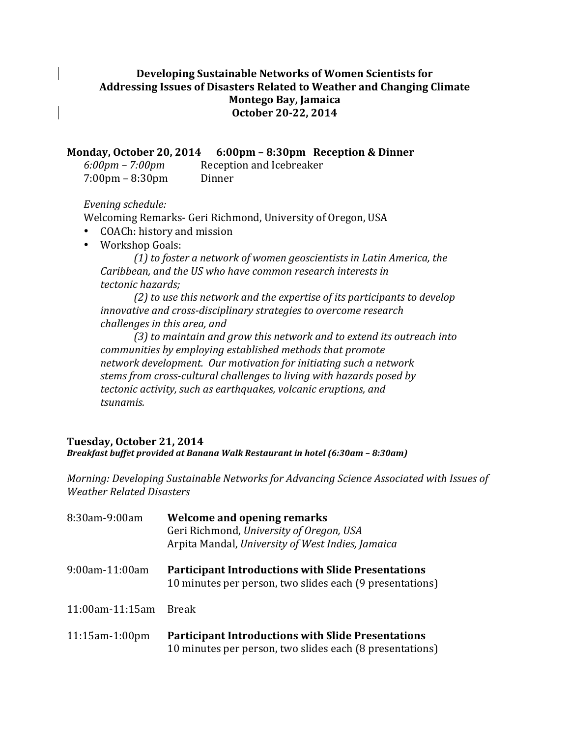## Developing Sustainable Networks of Women Scientists for Addressing Issues of Disasters Related to Weather and Changing Climate **Montego Bay, Jamaica October 20-22, 2014**

**Monday, October 20, 2014** 6:00pm - 8:30pm Reception & Dinner

| $6:00 \text{pm} - 7:00 \text{pm}$ | Reception and Icebreaker |
|-----------------------------------|--------------------------|
| $7:00 \text{pm} - 8:30 \text{pm}$ | Dinner                   |

## *Evening schedule:*

Welcoming Remarks- Geri Richmond, University of Oregon, USA

- COACh: history and mission
- Workshop Goals:

*(1) to foster a network of women geoscientists in Latin America, the*  Caribbean, and the US who have common research interests in *tectonic hazards;* 

(2) to use this network and the expertise of its participants to develop *innovative and cross-disciplinary strategies to overcome research challenges in this area, and* 

(3) to maintain and grow this network and to extend its outreach into *communities by employing established methods that promote network development. Our motivation for initiating such a network stems from cross-cultural challenges to living with hazards posed by* tectonic activity, such as earthquakes, volcanic eruptions, and *tsunamis.*

## **Tuesday, October 21, 2014**

*Breakfast buffet provided at Banana Walk Restaurant in hotel (6:30am - 8:30am)* 

*Morning: Developing Sustainable Networks for Advancing Science Associated with Issues of Weather Related Disasters*

| 8:30am-9:00am         | Welcome and opening remarks<br>Geri Richmond, University of Oregon, USA<br>Arpita Mandal, University of West Indies, Jamaica |
|-----------------------|------------------------------------------------------------------------------------------------------------------------------|
| 9:00am-11:00am        | <b>Participant Introductions with Slide Presentations</b><br>10 minutes per person, two slides each (9 presentations)        |
| 11:00am-11:15am       | <b>Break</b>                                                                                                                 |
| $11:15$ am $-1:00$ pm | <b>Participant Introductions with Slide Presentations</b><br>10 minutes per person, two slides each (8 presentations)        |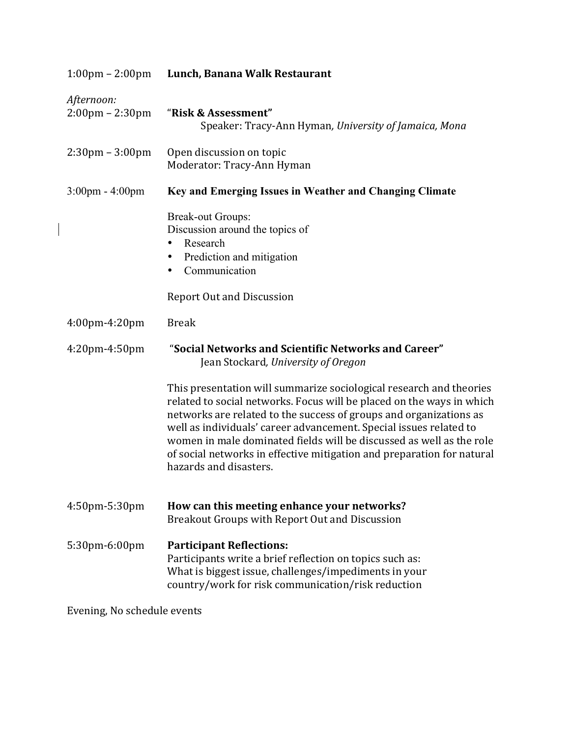| $1:00 \text{pm} - 2:00 \text{pm}$               | Lunch, Banana Walk Restaurant                                                                                                                                                                                                                                                                                                                                                                                                                                        |
|-------------------------------------------------|----------------------------------------------------------------------------------------------------------------------------------------------------------------------------------------------------------------------------------------------------------------------------------------------------------------------------------------------------------------------------------------------------------------------------------------------------------------------|
| Afternoon:<br>$2:00 \text{pm} - 2:30 \text{pm}$ | "Risk & Assessment"<br>Speaker: Tracy-Ann Hyman, University of Jamaica, Mona                                                                                                                                                                                                                                                                                                                                                                                         |
| $2:30 \text{pm} - 3:00 \text{pm}$               | Open discussion on topic<br>Moderator: Tracy-Ann Hyman                                                                                                                                                                                                                                                                                                                                                                                                               |
| $3:00 \text{pm} - 4:00 \text{pm}$               | Key and Emerging Issues in Weather and Changing Climate                                                                                                                                                                                                                                                                                                                                                                                                              |
|                                                 | <b>Break-out Groups:</b><br>Discussion around the topics of<br>Research<br>$\bullet$<br>Prediction and mitigation<br>$\bullet$<br>Communication<br>$\bullet$<br><b>Report Out and Discussion</b>                                                                                                                                                                                                                                                                     |
| 4:00pm-4:20pm                                   | <b>Break</b>                                                                                                                                                                                                                                                                                                                                                                                                                                                         |
| $4:20$ pm $-4:50$ pm                            | "Social Networks and Scientific Networks and Career"<br>Jean Stockard, University of Oregon                                                                                                                                                                                                                                                                                                                                                                          |
|                                                 | This presentation will summarize sociological research and theories<br>related to social networks. Focus will be placed on the ways in which<br>networks are related to the success of groups and organizations as<br>well as individuals' career advancement. Special issues related to<br>women in male dominated fields will be discussed as well as the role<br>of social networks in effective mitigation and preparation for natural<br>hazards and disasters. |
| 4:50pm-5:30pm                                   | How can this meeting enhance your networks?<br>Breakout Groups with Report Out and Discussion                                                                                                                                                                                                                                                                                                                                                                        |
| 5:30pm-6:00pm                                   | <b>Participant Reflections:</b><br>Participants write a brief reflection on topics such as:<br>What is biggest issue, challenges/impediments in your<br>country/work for risk communication/risk reduction                                                                                                                                                                                                                                                           |

Evening, No schedule events

 $\overline{\phantom{a}}$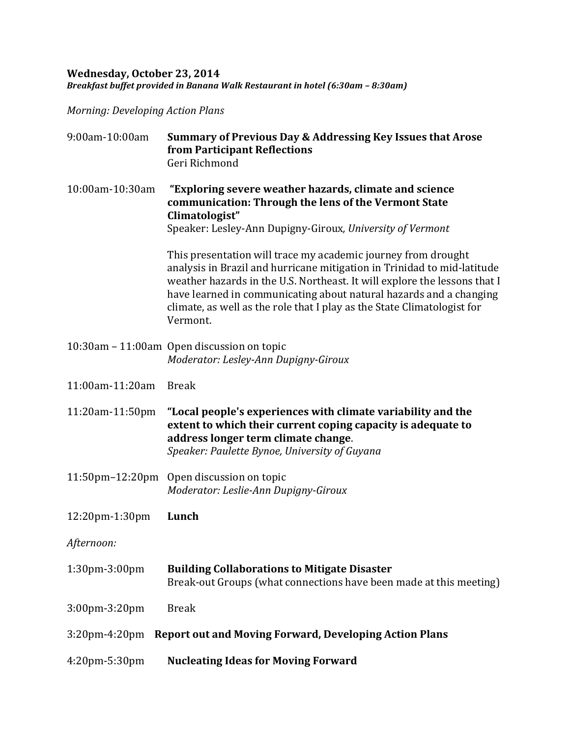## **Wednesday, October 23, 2014** *Breakfast buffet provided in Banana Walk Restaurant in hotel (6:30am – 8:30am)*

*Morning: Developing Action Plans*

| 9:00am-10:00am         | Summary of Previous Day & Addressing Key Issues that Arose<br>from Participant Reflections<br>Geri Richmond                                                                                                                                                                                                                                                                        |
|------------------------|------------------------------------------------------------------------------------------------------------------------------------------------------------------------------------------------------------------------------------------------------------------------------------------------------------------------------------------------------------------------------------|
| 10:00am-10:30am        | "Exploring severe weather hazards, climate and science<br>communication: Through the lens of the Vermont State<br>Climatologist"<br>Speaker: Lesley-Ann Dupigny-Giroux, University of Vermont                                                                                                                                                                                      |
|                        | This presentation will trace my academic journey from drought<br>analysis in Brazil and hurricane mitigation in Trinidad to mid-latitude<br>weather hazards in the U.S. Northeast. It will explore the lessons that I<br>have learned in communicating about natural hazards and a changing<br>climate, as well as the role that I play as the State Climatologist for<br>Vermont. |
|                        | 10:30am – 11:00am Open discussion on topic<br>Moderator: Lesley-Ann Dupigny-Giroux                                                                                                                                                                                                                                                                                                 |
| 11:00am-11:20am        | <b>Break</b>                                                                                                                                                                                                                                                                                                                                                                       |
| 11:20am-11:50pm        | "Local people's experiences with climate variability and the<br>extent to which their current coping capacity is adequate to<br>address longer term climate change.<br>Speaker: Paulette Bynoe, University of Guyana                                                                                                                                                               |
| $11:50$ pm $-12:20$ pm | Open discussion on topic<br>Moderator: Leslie-Ann Dupigny-Giroux                                                                                                                                                                                                                                                                                                                   |
| 12:20pm-1:30pm         | Lunch                                                                                                                                                                                                                                                                                                                                                                              |
| Afternoon:             |                                                                                                                                                                                                                                                                                                                                                                                    |
| 1:30pm-3:00pm          | <b>Building Collaborations to Mitigate Disaster</b><br>Break-out Groups (what connections have been made at this meeting)                                                                                                                                                                                                                                                          |
| 3:00pm-3:20pm          | <b>Break</b>                                                                                                                                                                                                                                                                                                                                                                       |
| $3:20$ pm-4:20pm       | <b>Report out and Moving Forward, Developing Action Plans</b>                                                                                                                                                                                                                                                                                                                      |
| 4:20pm-5:30pm          | <b>Nucleating Ideas for Moving Forward</b>                                                                                                                                                                                                                                                                                                                                         |